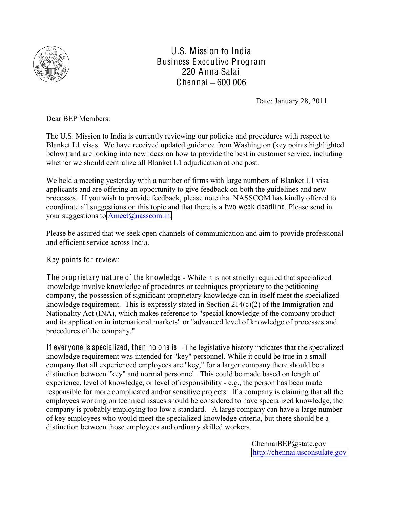

U.S. Mission to India Business Executive Program 220 Anna Salai Chennai **±** 600 006

Date: January 28, 2011

Dear BEP Members:

The U.S. Mission to India is currently reviewing our policies and procedures with respect to Blanket L1 visas. We have received updated guidance from Washington (key points highlighted below) and are looking into new ideas on how to provide the best in customer service, including whether we should centralize all Blanket L1 adjudication at one post.

We held a meeting yesterday with a number of firms with large numbers of Blanket L1 visa applicants and are offering an opportunity to give feedback on both the guidelines and new processes. If you wish to provide feedback, please note that NASSCOM has kindly offered to coordinate all suggestions on this topic and that there is a two week deadline. Please send in your suggestions to  $Ameet(a)$ nasscom.in.

Please be assured that we seek open channels of communication and aim to provide professional and efficient service across India.

Key points for review:

The proprietary nature of the knowledge - While it is not strictly required that specialized knowledge involve knowledge of procedures or techniques proprietary to the petitioning company, the possession of significant proprietary knowledge can in itself meet the specialized knowledge requirement. This is expressly stated in Section  $214(c)(2)$  of the Immigration and Nationality Act (INA), which makes reference to "special knowledge of the company product and its application in international markets" or "advanced level of knowledge of processes and procedures of the company."

If everyone is specialized, then no one is  $-$  The legislative history indicates that the specialized knowledge requirement was intended for "key" personnel. While it could be true in a small company that all experienced employees are "key," for a larger company there should be a distinction between "key" and normal personnel. This could be made based on length of experience, level of knowledge, or level of responsibility - e.g., the person has been made responsible for more complicated and/or sensitive projects. If a company is claiming that all the employees working on technical issues should be considered to have specialized knowledge, the company is probably employing too low a standard. A large company can have a large number of key employees who would meet the specialized knowledge criteria, but there should be a distinction between those employees and ordinary skilled workers.

> ChennaiBEP@state.gov [http://chennai.usconsulate.gov](http://chennai.usconsulate.gov/)